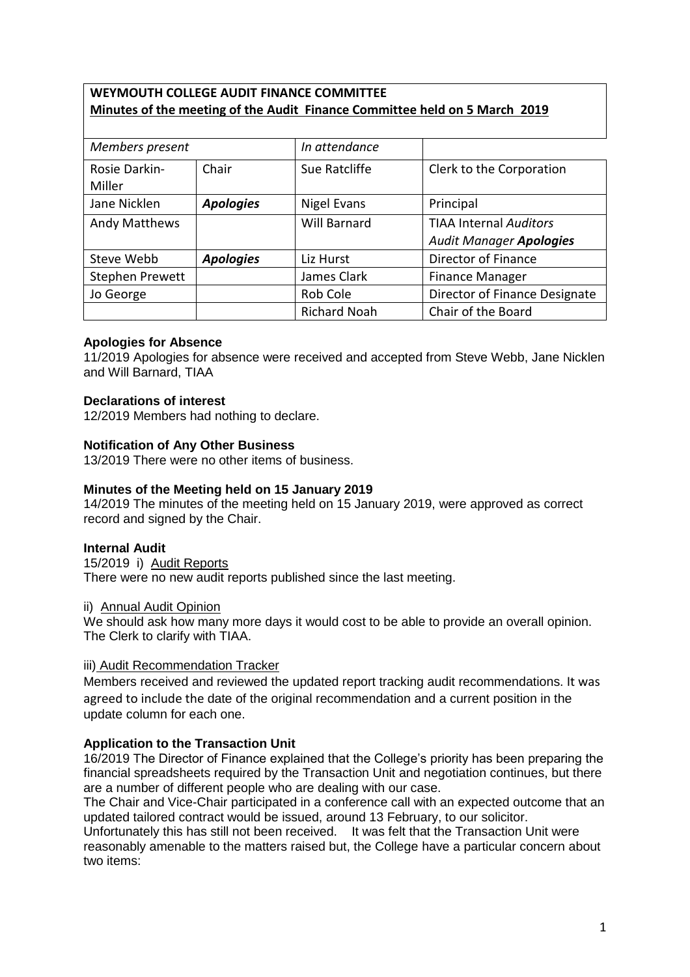# **WEYMOUTH COLLEGE AUDIT FINANCE COMMITTEE Minutes of the meeting of the Audit Finance Committee held on 5 March 2019**

| Members present      |                  | In attendance       |                                |
|----------------------|------------------|---------------------|--------------------------------|
| Rosie Darkin-        | Chair            | Sue Ratcliffe       | Clerk to the Corporation       |
| Miller               |                  |                     |                                |
| Jane Nicklen         | <b>Apologies</b> | Nigel Evans         | Principal                      |
| <b>Andy Matthews</b> |                  | <b>Will Barnard</b> | <b>TIAA Internal Auditors</b>  |
|                      |                  |                     | <b>Audit Manager Apologies</b> |
| Steve Webb           | <b>Apologies</b> | Liz Hurst           | Director of Finance            |
| Stephen Prewett      |                  | James Clark         | <b>Finance Manager</b>         |
| Jo George            |                  | Rob Cole            | Director of Finance Designate  |
|                      |                  | <b>Richard Noah</b> | Chair of the Board             |

### **Apologies for Absence**

11/2019 Apologies for absence were received and accepted from Steve Webb, Jane Nicklen and Will Barnard, TIAA

### **Declarations of interest**

12/2019 Members had nothing to declare.

### **Notification of Any Other Business**

13/2019 There were no other items of business.

# **Minutes of the Meeting held on 15 January 2019**

14/2019 The minutes of the meeting held on 15 January 2019, were approved as correct record and signed by the Chair.

### **Internal Audit**

15/2019 i) Audit Reports There were no new audit reports published since the last meeting.

#### ii) Annual Audit Opinion

We should ask how many more days it would cost to be able to provide an overall opinion. The Clerk to clarify with TIAA.

### iii) Audit Recommendation Tracker

Members received and reviewed the updated report tracking audit recommendations. It was agreed to include the date of the original recommendation and a current position in the update column for each one.

### **Application to the Transaction Unit**

16/2019 The Director of Finance explained that the College's priority has been preparing the financial spreadsheets required by the Transaction Unit and negotiation continues, but there are a number of different people who are dealing with our case.

The Chair and Vice-Chair participated in a conference call with an expected outcome that an updated tailored contract would be issued, around 13 February, to our solicitor.

Unfortunately this has still not been received. It was felt that the Transaction Unit were reasonably amenable to the matters raised but, the College have a particular concern about two items: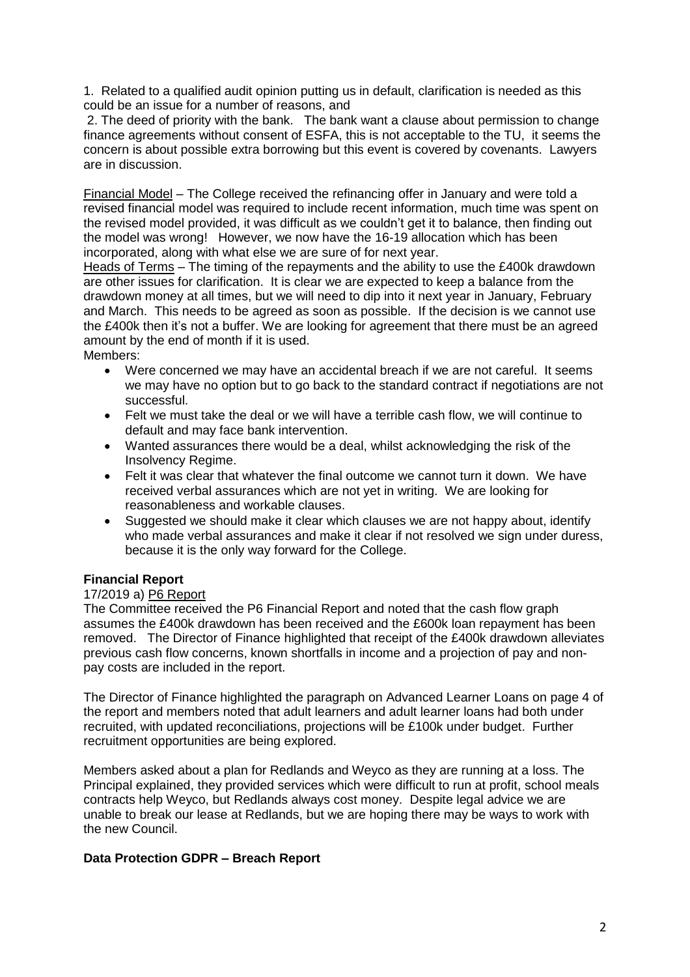1. Related to a qualified audit opinion putting us in default, clarification is needed as this could be an issue for a number of reasons, and

2. The deed of priority with the bank. The bank want a clause about permission to change finance agreements without consent of ESFA, this is not acceptable to the TU, it seems the concern is about possible extra borrowing but this event is covered by covenants. Lawyers are in discussion.

Financial Model – The College received the refinancing offer in January and were told a revised financial model was required to include recent information, much time was spent on the revised model provided, it was difficult as we couldn't get it to balance, then finding out the model was wrong! However, we now have the 16-19 allocation which has been incorporated, along with what else we are sure of for next year.

Heads of Terms - The timing of the repayments and the ability to use the £400k drawdown are other issues for clarification. It is clear we are expected to keep a balance from the drawdown money at all times, but we will need to dip into it next year in January, February and March. This needs to be agreed as soon as possible. If the decision is we cannot use the £400k then it's not a buffer. We are looking for agreement that there must be an agreed amount by the end of month if it is used.

Members:

- Were concerned we may have an accidental breach if we are not careful. It seems we may have no option but to go back to the standard contract if negotiations are not successful.
- Felt we must take the deal or we will have a terrible cash flow, we will continue to default and may face bank intervention.
- Wanted assurances there would be a deal, whilst acknowledging the risk of the Insolvency Regime.
- Felt it was clear that whatever the final outcome we cannot turn it down. We have received verbal assurances which are not yet in writing. We are looking for reasonableness and workable clauses.
- Suggested we should make it clear which clauses we are not happy about, identify who made verbal assurances and make it clear if not resolved we sign under duress, because it is the only way forward for the College.

### **Financial Report**

### 17/2019 a) P6 Report

The Committee received the P6 Financial Report and noted that the cash flow graph assumes the £400k drawdown has been received and the £600k loan repayment has been removed. The Director of Finance highlighted that receipt of the £400k drawdown alleviates previous cash flow concerns, known shortfalls in income and a projection of pay and nonpay costs are included in the report.

The Director of Finance highlighted the paragraph on Advanced Learner Loans on page 4 of the report and members noted that adult learners and adult learner loans had both under recruited, with updated reconciliations, projections will be £100k under budget. Further recruitment opportunities are being explored.

Members asked about a plan for Redlands and Weyco as they are running at a loss. The Principal explained, they provided services which were difficult to run at profit, school meals contracts help Weyco, but Redlands always cost money. Despite legal advice we are unable to break our lease at Redlands, but we are hoping there may be ways to work with the new Council.

### **Data Protection GDPR – Breach Report**